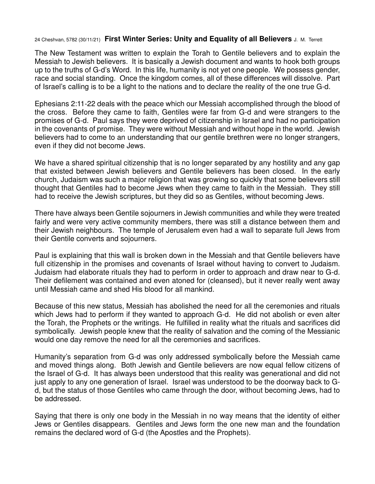## 24 Cheshvan, 5782 (30/11/21) **First Winter Series: Unity and Equality of all Believers** J. M. Terrett

The New Testament was written to explain the Torah to Gentile believers and to explain the Messiah to Jewish believers. It is basically a Jewish document and wants to hook both groups up to the truths of G-d's Word. In this life, humanity is not yet one people. We possess gender, race and social standing. Once the kingdom comes, all of these differences will dissolve. Part of Israel's calling is to be a light to the nations and to declare the reality of the one true G-d.

Ephesians 2:11-22 deals with the peace which our Messiah accomplished through the blood of the cross. Before they came to faith, Gentiles were far from G-d and were strangers to the promises of G-d. Paul says they were deprived of citizenship in Israel and had no participation in the covenants of promise. They were without Messiah and without hope in the world. Jewish believers had to come to an understanding that our gentile brethren were no longer strangers, even if they did not become Jews.

We have a shared spiritual citizenship that is no longer separated by any hostility and any gap that existed between Jewish believers and Gentile believers has been closed. In the early church, Judaism was such a major religion that was growing so quickly that some believers still thought that Gentiles had to become Jews when they came to faith in the Messiah. They still had to receive the Jewish scriptures, but they did so as Gentiles, without becoming Jews.

There have always been Gentile sojourners in Jewish communities and while they were treated fairly and were very active community members, there was still a distance between them and their Jewish neighbours. The temple of Jerusalem even had a wall to separate full Jews from their Gentile converts and sojourners.

Paul is explaining that this wall is broken down in the Messiah and that Gentile believers have full citizenship in the promises and covenants of Israel without having to convert to Judaism. Judaism had elaborate rituals they had to perform in order to approach and draw near to G-d. Their defilement was contained and even atoned for (cleansed), but it never really went away until Messiah came and shed His blood for all mankind.

Because of this new status, Messiah has abolished the need for all the ceremonies and rituals which Jews had to perform if they wanted to approach G-d. He did not abolish or even alter the Torah, the Prophets or the writings. He fulfilled in reality what the rituals and sacrifices did symbolically. Jewish people knew that the reality of salvation and the coming of the Messianic would one day remove the need for all the ceremonies and sacrifices.

Humanity's separation from G-d was only addressed symbolically before the Messiah came and moved things along. Both Jewish and Gentile believers are now equal fellow citizens of the Israel of G-d. It has always been understood that this reality was generational and did not just apply to any one generation of Israel. Israel was understood to be the doorway back to Gd, but the status of those Gentiles who came through the door, without becoming Jews, had to be addressed.

Saying that there is only one body in the Messiah in no way means that the identity of either Jews or Gentiles disappears. Gentiles and Jews form the one new man and the foundation remains the declared word of G-d (the Apostles and the Prophets).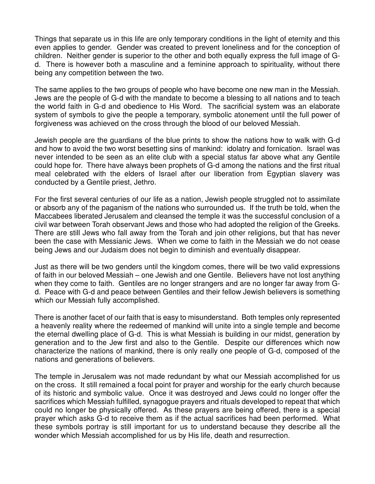Things that separate us in this life are only temporary conditions in the light of eternity and this even applies to gender. Gender was created to prevent loneliness and for the conception of children. Neither gender is superior to the other and both equally express the full image of Gd. There is however both a masculine and a feminine approach to spirituality, without there being any competition between the two.

The same applies to the two groups of people who have become one new man in the Messiah. Jews are the people of G-d with the mandate to become a blessing to all nations and to teach the world faith in G-d and obedience to His Word. The sacrificial system was an elaborate system of symbols to give the people a temporary, symbolic atonement until the full power of forgiveness was achieved on the cross through the blood of our beloved Messiah.

Jewish people are the guardians of the blue prints to show the nations how to walk with G-d and how to avoid the two worst besetting sins of mankind: idolatry and fornication. Israel was never intended to be seen as an elite club with a special status far above what any Gentile could hope for. There have always been prophets of G-d among the nations and the first ritual meal celebrated with the elders of Israel after our liberation from Egyptian slavery was conducted by a Gentile priest, Jethro.

For the first several centuries of our life as a nation, Jewish people struggled not to assimilate or absorb any of the paganism of the nations who surrounded us. If the truth be told, when the Maccabees liberated Jerusalem and cleansed the temple it was the successful conclusion of a civil war between Torah observant Jews and those who had adopted the religion of the Greeks. There are still Jews who fall away from the Torah and join other religions, but that has never been the case with Messianic Jews. When we come to faith in the Messiah we do not cease being Jews and our Judaism does not begin to diminish and eventually disappear.

Just as there will be two genders until the kingdom comes, there will be two valid expressions of faith in our beloved Messiah – one Jewish and one Gentile. Believers have not lost anything when they come to faith. Gentiles are no longer strangers and are no longer far away from Gd. Peace with G-d and peace between Gentiles and their fellow Jewish believers is something which our Messiah fully accomplished.

There is another facet of our faith that is easy to misunderstand. Both temples only represented a heavenly reality where the redeemed of mankind will unite into a single temple and become the eternal dwelling place of G-d. This is what Messiah is building in our midst, generation by generation and to the Jew first and also to the Gentile. Despite our differences which now characterize the nations of mankind, there is only really one people of G-d, composed of the nations and generations of believers.

The temple in Jerusalem was not made redundant by what our Messiah accomplished for us on the cross. It still remained a focal point for prayer and worship for the early church because of its historic and symbolic value. Once it was destroyed and Jews could no longer offer the sacrifices which Messiah fulfilled, synagogue prayers and rituals developed to repeat that which could no longer be physically offered. As these prayers are being offered, there is a special prayer which asks G-d to receive them as if the actual sacrifices had been performed. What these symbols portray is still important for us to understand because they describe all the wonder which Messiah accomplished for us by His life, death and resurrection.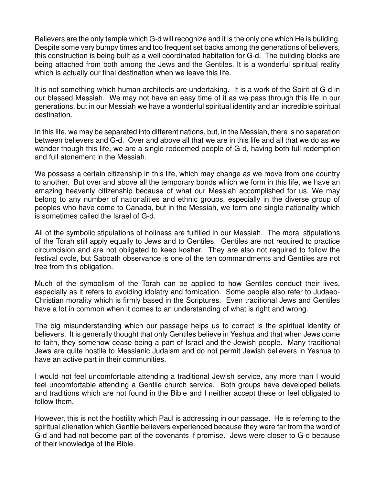Believers are the only temple which G-d will recognize and it is the only one which He is building. Despite some very bumpy times and too frequent set backs among the generations of believers, this construction is being built as a well coordinated habitation for G-d. The building blocks are being attached from both among the Jews and the Gentiles. It is a wonderful spiritual reality which is actually our final destination when we leave this life.

It is not something which human architects are undertaking. It is a work of the Spirit of G-d in our blessed Messiah. We may not have an easy time of it as we pass through this life in our generations, but in our Messiah we have a wonderful spiritual identity and an incredible spiritual destination.

In this life, we may be separated into different nations, but, in the Messiah, there is no separation between believers and G-d. Over and above all that we are in this life and all that we do as we wander though this life, we are a single redeemed people of G-d, having both full redemption and full atonement in the Messiah.

We possess a certain citizenship in this life, which may change as we move from one country to another. But over and above all the temporary bonds which we form in this life, we have an amazing heavenly citizenship because of what our Messiah accomplished for us. We may belong to any number of nationalities and ethnic groups, especially in the diverse group of peoples who have come to Canada, but in the Messiah, we form one single nationality which is sometimes called the Israel of G-d.

All of the symbolic stipulations of holiness are fulfilled in our Messiah. The moral stipulations of the Torah still apply equally to Jews and to Gentiles. Gentiles are not required to practice circumcision and are not obligated to keep kosher. They are also not required to follow the festival cycle, but Sabbath observance is one of the ten commandments and Gentiles are not free from this obligation.

Much of the symbolism of the Torah can be applied to how Gentiles conduct their lives, especially as it refers to avoiding idolatry and fornication. Some people also refer to Judaeo-Christian morality which is firmly based in the Scriptures. Even traditional Jews and Gentiles have a lot in common when it comes to an understanding of what is right and wrong.

The big misunderstanding which our passage helps us to correct is the spiritual identity of believers. It is generally thought that only Gentiles believe in Yeshua and that when Jews come to faith, they somehow cease being a part of Israel and the Jewish people. Many traditional Jews are quite hostile to Messianic Judaism and do not permit Jewish believers in Yeshua to have an active part in their communities.

I would not feel uncomfortable attending a traditional Jewish service, any more than I would feel uncomfortable attending a Gentile church service. Both groups have developed beliefs and traditions which are not found in the Bible and I neither accept these or feel obligated to follow them.

However, this is not the hostility which Paul is addressing in our passage. He is referring to the spiritual alienation which Gentile believers experienced because they were far from the word of G-d and had not become part of the covenants if promise. Jews were closer to G-d because of their knowledge of the Bible.